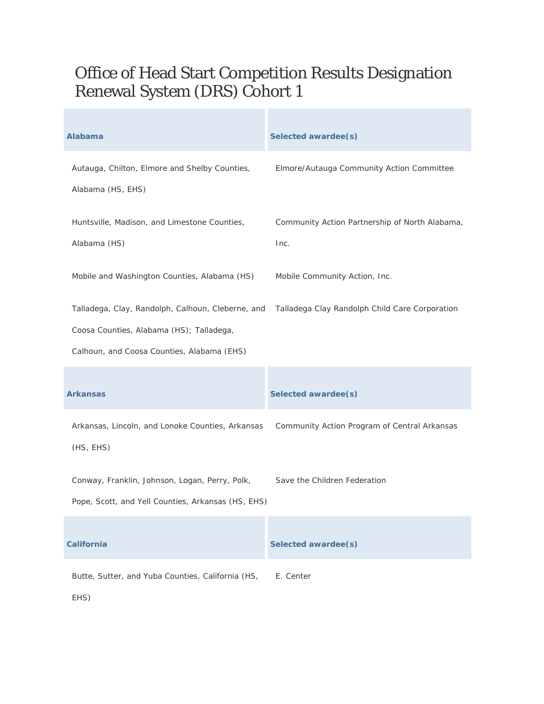## Office of Head Start Competition Results Designation Renewal System (DRS) Cohort 1

| <b>Alabama</b>                                                                                                                              | Selected awardee(s)                                    |
|---------------------------------------------------------------------------------------------------------------------------------------------|--------------------------------------------------------|
| Autauga, Chilton, Elmore and Shelby Counties,<br>Alabama (HS, EHS)                                                                          | Elmore/Autauga Community Action Committee              |
| Huntsville, Madison, and Limestone Counties,<br>Alabama (HS)                                                                                | Community Action Partnership of North Alabama,<br>Inc. |
| Mobile and Washington Counties, Alabama (HS)                                                                                                | Mobile Community Action, Inc.                          |
| Talladega, Clay, Randolph, Calhoun, Cleberne, and<br>Coosa Counties, Alabama (HS); Talladega,<br>Calhoun, and Coosa Counties, Alabama (EHS) | Talladega Clay Randolph Child Care Corporation         |
| <b>Arkansas</b>                                                                                                                             | Selected awardee(s)                                    |
| Arkansas, Lincoln, and Lonoke Counties, Arkansas<br>(HS, EHS)                                                                               | Community Action Program of Central Arkansas           |
| Conway, Franklin, Johnson, Logan, Perry, Polk,<br>Pope, Scott, and Yell Counties, Arkansas (HS, EHS)                                        | Save the Children Federation                           |
| <b>California</b>                                                                                                                           | Selected awardee(s)                                    |
| Butte, Sutter, and Yuba Counties, California (HS,<br>EHS)                                                                                   | E. Center                                              |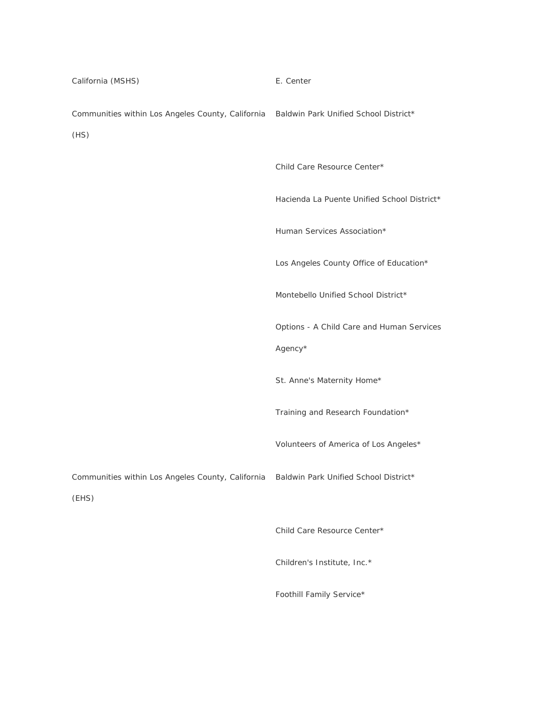| California (MSHS)                                                                                | E. Center                                   |
|--------------------------------------------------------------------------------------------------|---------------------------------------------|
| Communities within Los Angeles County, California Baldwin Park Unified School District*<br>(HS)  |                                             |
|                                                                                                  | Child Care Resource Center*                 |
|                                                                                                  | Hacienda La Puente Unified School District* |
|                                                                                                  | Human Services Association*                 |
|                                                                                                  | Los Angeles County Office of Education*     |
|                                                                                                  | Montebello Unified School District*         |
|                                                                                                  | Options - A Child Care and Human Services   |
|                                                                                                  | Agency*                                     |
|                                                                                                  | St. Anne's Maternity Home*                  |
|                                                                                                  | Training and Research Foundation*           |
|                                                                                                  | Volunteers of America of Los Angeles*       |
| Communities within Los Angeles County, California Baldwin Park Unified School District*<br>(EHS) |                                             |
|                                                                                                  |                                             |
|                                                                                                  | Child Care Resource Center*                 |
|                                                                                                  | Children's Institute, Inc.*                 |
|                                                                                                  | Foothill Family Service*                    |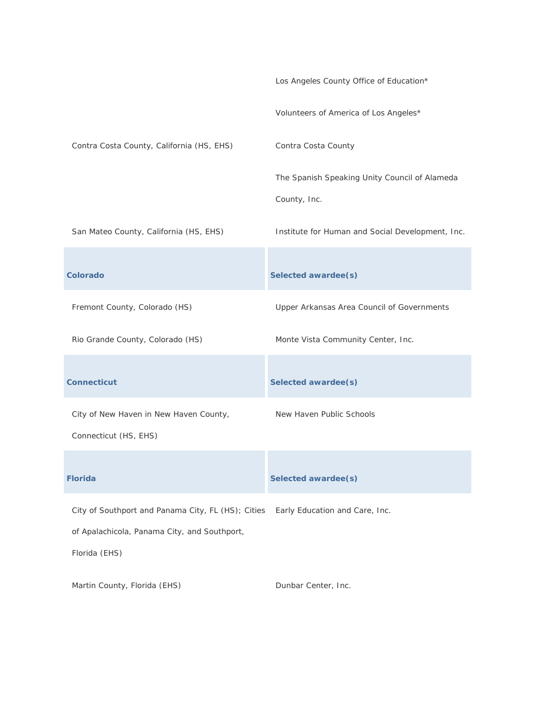|                                                               | Los Angeles County Office of Education*          |
|---------------------------------------------------------------|--------------------------------------------------|
|                                                               | Volunteers of America of Los Angeles*            |
| Contra Costa County, California (HS, EHS)                     | Contra Costa County                              |
|                                                               | The Spanish Speaking Unity Council of Alameda    |
|                                                               | County, Inc.                                     |
| San Mateo County, California (HS, EHS)                        | Institute for Human and Social Development, Inc. |
| <b>Colorado</b>                                               | Selected awardee(s)                              |
|                                                               |                                                  |
| Fremont County, Colorado (HS)                                 | Upper Arkansas Area Council of Governments       |
| Rio Grande County, Colorado (HS)                              | Monte Vista Community Center, Inc.               |
|                                                               |                                                  |
| <b>Connecticut</b>                                            | Selected awardee(s)                              |
| City of New Haven in New Haven County,                        | New Haven Public Schools                         |
| Connecticut (HS, EHS)                                         |                                                  |
| <b>Florida</b>                                                | Selected awardee(s)                              |
|                                                               |                                                  |
| City of Southport and Panama City, FL (HS); Cities            | Early Education and Care, Inc.                   |
| of Apalachicola, Panama City, and Southport,<br>Florida (EHS) |                                                  |
| Martin County, Florida (EHS)                                  | Dunbar Center, Inc.                              |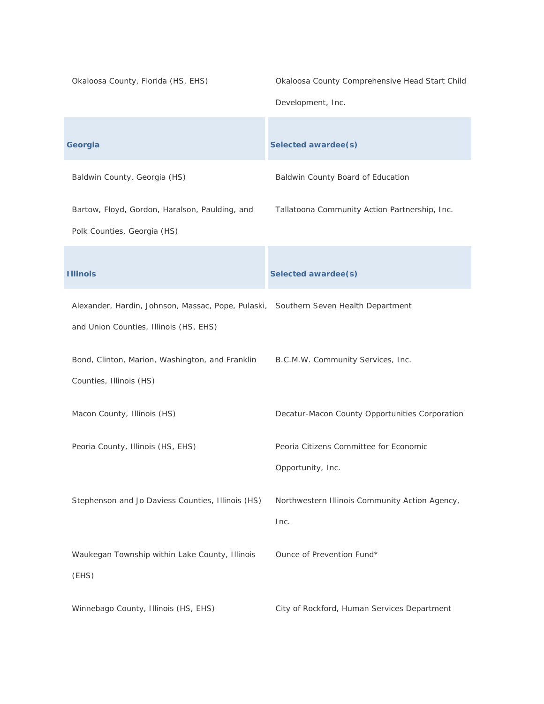| Okaloosa County, Florida (HS, EHS)                                                                                            | Okaloosa County Comprehensive Head Start Child<br>Development, Inc. |
|-------------------------------------------------------------------------------------------------------------------------------|---------------------------------------------------------------------|
| Georgia                                                                                                                       | Selected awardee(s)                                                 |
| Baldwin County, Georgia (HS)                                                                                                  | Baldwin County Board of Education                                   |
| Bartow, Floyd, Gordon, Haralson, Paulding, and<br>Polk Counties, Georgia (HS)                                                 | Tallatoona Community Action Partnership, Inc.                       |
| <b>Illinois</b>                                                                                                               | Selected awardee(s)                                                 |
| Alexander, Hardin, Johnson, Massac, Pope, Pulaski, Southern Seven Health Department<br>and Union Counties, Illinois (HS, EHS) |                                                                     |
| Bond, Clinton, Marion, Washington, and Franklin B.C.M.W. Community Services, Inc.<br>Counties, Illinois (HS)                  |                                                                     |
| Macon County, Illinois (HS)                                                                                                   | Decatur-Macon County Opportunities Corporation                      |
| Peoria County, Illinois (HS, EHS)                                                                                             | Peoria Citizens Committee for Economic<br>Opportunity, Inc.         |
| Stephenson and Jo Daviess Counties, Illinois (HS)                                                                             | Northwestern Illinois Community Action Agency,<br>Inc.              |
| Waukegan Township within Lake County, Illinois<br>(EHS)                                                                       | Ounce of Prevention Fund*                                           |
| Winnebago County, Illinois (HS, EHS)                                                                                          | City of Rockford, Human Services Department                         |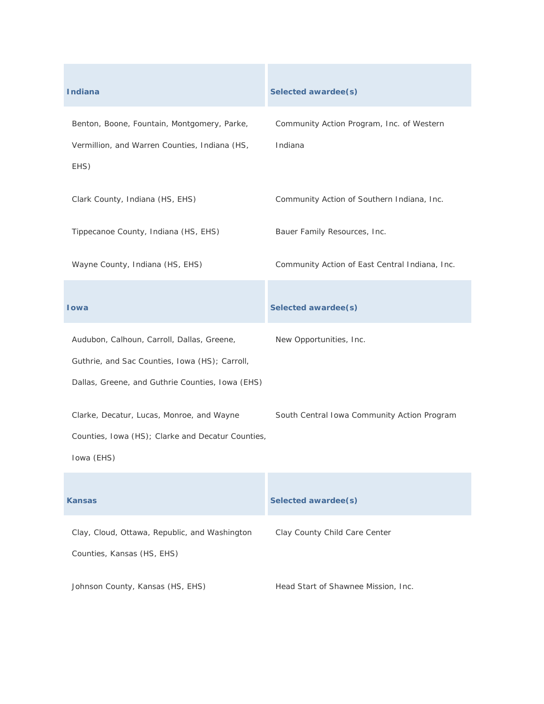| <b>Indiana</b>                                                                                                                                   | Selected awardee(s)                                  |
|--------------------------------------------------------------------------------------------------------------------------------------------------|------------------------------------------------------|
| Benton, Boone, Fountain, Montgomery, Parke,<br>Vermillion, and Warren Counties, Indiana (HS,<br>EHS)                                             | Community Action Program, Inc. of Western<br>Indiana |
| Clark County, Indiana (HS, EHS)                                                                                                                  | Community Action of Southern Indiana, Inc.           |
| Tippecanoe County, Indiana (HS, EHS)                                                                                                             | Bauer Family Resources, Inc.                         |
| Wayne County, Indiana (HS, EHS)                                                                                                                  | Community Action of East Central Indiana, Inc.       |
| <b>I</b> owa                                                                                                                                     | Selected awardee(s)                                  |
| Audubon, Calhoun, Carroll, Dallas, Greene,<br>Guthrie, and Sac Counties, Iowa (HS); Carroll,<br>Dallas, Greene, and Guthrie Counties, Iowa (EHS) | New Opportunities, Inc.                              |
| Clarke, Decatur, Lucas, Monroe, and Wayne<br>Counties, Iowa (HS); Clarke and Decatur Counties,<br>Iowa (EHS)                                     | South Central Iowa Community Action Program          |
| <b>Kansas</b>                                                                                                                                    | Selected awardee(s)                                  |
| Clay, Cloud, Ottawa, Republic, and Washington<br>Counties, Kansas (HS, EHS)                                                                      | Clay County Child Care Center                        |
| Johnson County, Kansas (HS, EHS)                                                                                                                 | Head Start of Shawnee Mission, Inc.                  |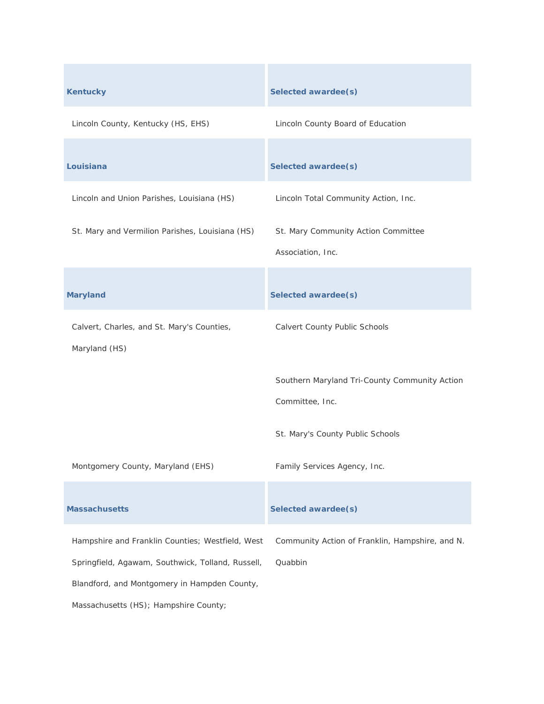| <b>Kentucky</b>                                                                                                                                       | Selected awardee(s)                                              |
|-------------------------------------------------------------------------------------------------------------------------------------------------------|------------------------------------------------------------------|
| Lincoln County, Kentucky (HS, EHS)                                                                                                                    | Lincoln County Board of Education                                |
| Louisiana                                                                                                                                             | Selected awardee(s)                                              |
| Lincoln and Union Parishes, Louisiana (HS)                                                                                                            | Lincoln Total Community Action, Inc.                             |
| St. Mary and Vermilion Parishes, Louisiana (HS)                                                                                                       | St. Mary Community Action Committee<br>Association, Inc.         |
| <b>Maryland</b>                                                                                                                                       | Selected awardee(s)                                              |
| Calvert, Charles, and St. Mary's Counties,<br>Maryland (HS)                                                                                           | Calvert County Public Schools                                    |
|                                                                                                                                                       | Southern Maryland Tri-County Community Action<br>Committee, Inc. |
|                                                                                                                                                       | St. Mary's County Public Schools                                 |
| Montgomery County, Maryland (EHS)                                                                                                                     | Family Services Agency, Inc.                                     |
| <b>Massachusetts</b>                                                                                                                                  | Selected awardee(s)                                              |
| Hampshire and Franklin Counties; Westfield, West<br>Springfield, Agawam, Southwick, Tolland, Russell,<br>Blandford, and Montgomery in Hampden County, | Community Action of Franklin, Hampshire, and N.<br>Quabbin       |
| Massachusetts (HS); Hampshire County;                                                                                                                 |                                                                  |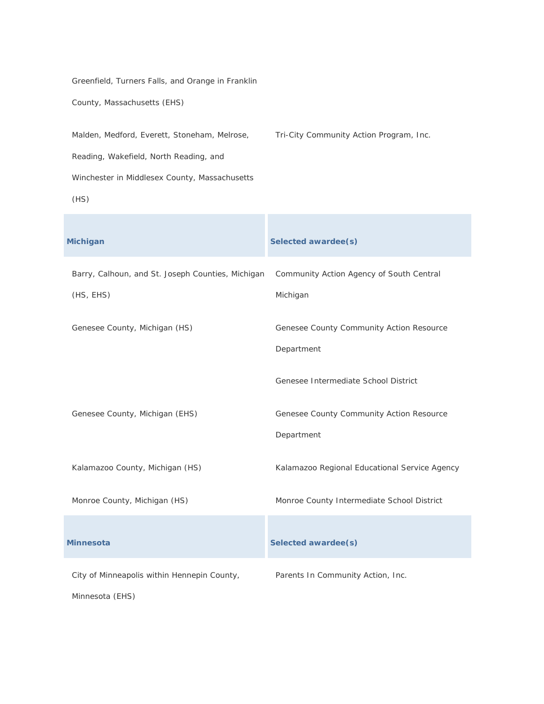Greenfield, Turners Falls, and Orange in Franklin

County, Massachusetts (EHS)

Malden, Medford, Everett, Stoneham, Melrose, Tri-City Community Action Program, Inc.

Reading, Wakefield, North Reading, and

Winchester in Middlesex County, Massachusetts

(HS)

| <b>Michigan</b>                                                | Selected awardee(s)                                    |
|----------------------------------------------------------------|--------------------------------------------------------|
| Barry, Calhoun, and St. Joseph Counties, Michigan<br>(HS, EHS) | Community Action Agency of South Central<br>Michigan   |
| Genesee County, Michigan (HS)                                  | Genesee County Community Action Resource<br>Department |
|                                                                | Genesee Intermediate School District                   |
| Genesee County, Michigan (EHS)                                 | Genesee County Community Action Resource<br>Department |
| Kalamazoo County, Michigan (HS)                                | Kalamazoo Regional Educational Service Agency          |
| Monroe County, Michigan (HS)                                   | Monroe County Intermediate School District             |
| <b>Minnesota</b>                                               | Selected awardee(s)                                    |
| City of Minneapolis within Hennepin County,<br>Minnesota (EHS) | Parents In Community Action, Inc.                      |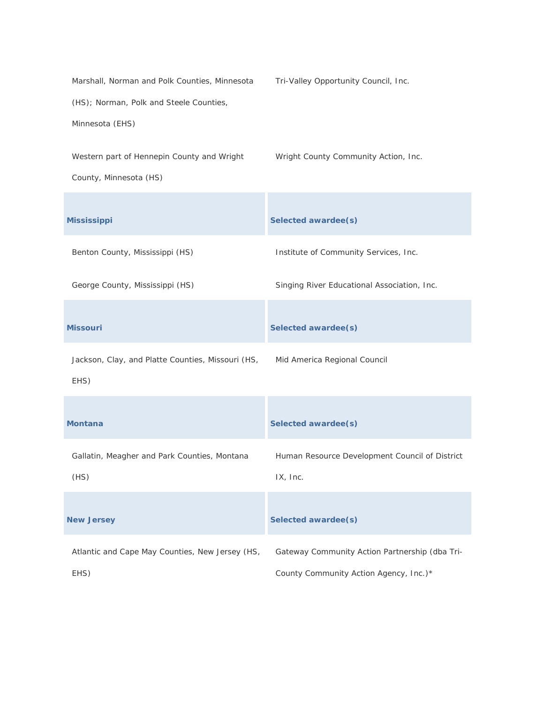Marshall, Norman and Polk Counties, Minnesota (HS); Norman, Polk and Steele Counties, Minnesota (EHS) Tri-Valley Opportunity Council, Inc. Western part of Hennepin County and Wright County, Minnesota (HS) Wright County Community Action, Inc. **Mississippi Selected awardee(s)** Benton County, Mississippi (HS) **Institute of Community Services, Inc.** George County, Mississippi (HS) Singing River Educational Association, Inc. **Missouri Selected awardee(s)** Jackson, Clay, and Platte Counties, Missouri (HS, EHS) Mid America Regional Council **Montana Selected awardee(s)** Gallatin, Meagher and Park Counties, Montana (HS) Human Resource Development Council of District IX, Inc. **New Jersey Selected awardee(s)** Atlantic and Cape May Counties, New Jersey (HS, EHS) Gateway Community Action Partnership (dba Tri-County Community Action Agency, Inc.)\*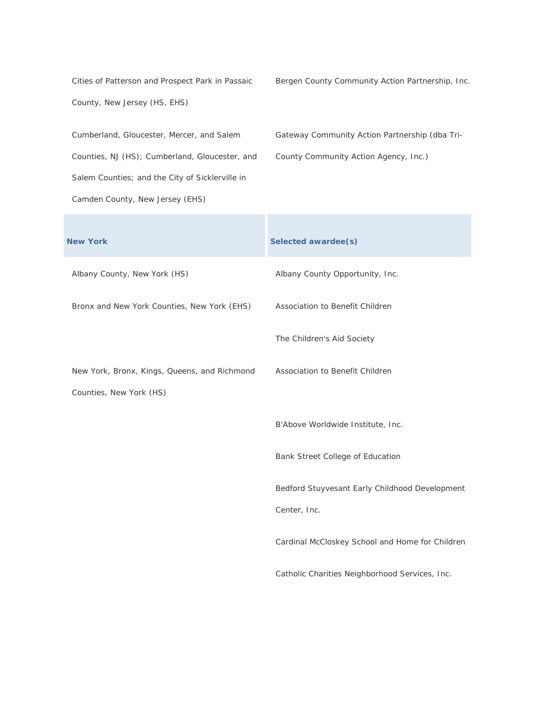| Cities of Patterson and Prospect Park in Passaic<br>County, New Jersey (HS, EHS)                                                                                                  | Bergen County Community Action Partnership, Inc.                                        |
|-----------------------------------------------------------------------------------------------------------------------------------------------------------------------------------|-----------------------------------------------------------------------------------------|
| Cumberland, Gloucester, Mercer, and Salem<br>Counties, NJ (HS); Cumberland, Gloucester, and<br>Salem Counties; and the City of Sicklerville in<br>Camden County, New Jersey (EHS) | Gateway Community Action Partnership (dba Tri-<br>County Community Action Agency, Inc.) |
| <b>New York</b>                                                                                                                                                                   | Selected awardee(s)                                                                     |
| Albany County, New York (HS)                                                                                                                                                      | Albany County Opportunity, Inc.                                                         |
| Bronx and New York Counties, New York (EHS)                                                                                                                                       | Association to Benefit Children                                                         |
|                                                                                                                                                                                   | The Children's Aid Society                                                              |
| New York, Bronx, Kings, Queens, and Richmond<br>Counties, New York (HS)                                                                                                           | Association to Benefit Children                                                         |
|                                                                                                                                                                                   | B'Above Worldwide Institute, Inc.                                                       |
|                                                                                                                                                                                   | Bank Street College of Education                                                        |
|                                                                                                                                                                                   | Bedford Stuyvesant Early Childhood Development                                          |
|                                                                                                                                                                                   | Center, Inc.                                                                            |
|                                                                                                                                                                                   | Cardinal McCloskey School and Home for Children                                         |
|                                                                                                                                                                                   | Catholic Charities Neighborhood Services, Inc.                                          |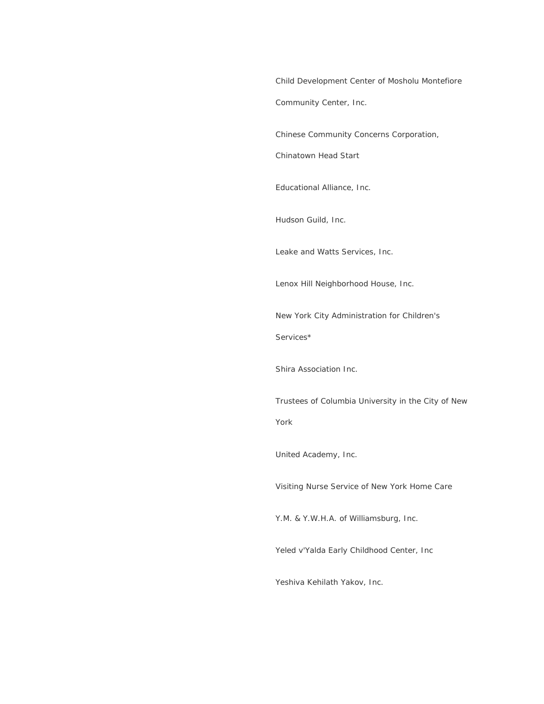Child Development Center of Mosholu Montefiore Community Center, Inc.

Chinese Community Concerns Corporation,

Chinatown Head Start

Educational Alliance, Inc.

Hudson Guild, Inc.

Leake and Watts Services, Inc.

Lenox Hill Neighborhood House, Inc.

New York City Administration for Children's

Services\*

Shira Association Inc.

Trustees of Columbia University in the City of New York

United Academy, Inc.

Visiting Nurse Service of New York Home Care

Y.M. & Y.W.H.A. of Williamsburg, Inc.

Yeled v'Yalda Early Childhood Center, Inc

Yeshiva Kehilath Yakov, Inc.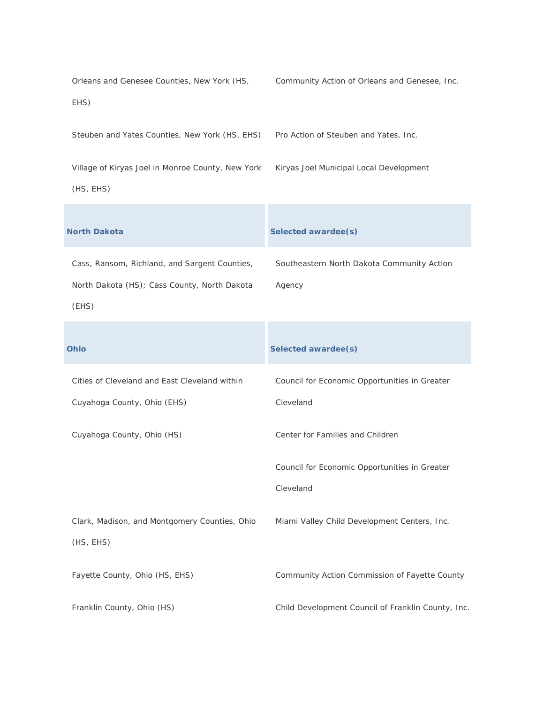| Orleans and Genesee Counties, New York (HS,<br>EHS)                                                    | Community Action of Orleans and Genesee, Inc.              |
|--------------------------------------------------------------------------------------------------------|------------------------------------------------------------|
| Steuben and Yates Counties, New York (HS, EHS)                                                         | Pro Action of Steuben and Yates, Inc.                      |
| Village of Kiryas Joel in Monroe County, New York<br>(HS, EHS)                                         | Kiryas Joel Municipal Local Development                    |
| <b>North Dakota</b>                                                                                    | Selected awardee(s)                                        |
| Cass, Ransom, Richland, and Sargent Counties,<br>North Dakota (HS); Cass County, North Dakota<br>(EHS) | Southeastern North Dakota Community Action<br>Agency       |
| Ohio                                                                                                   | Selected awardee(s)                                        |
| Cities of Cleveland and East Cleveland within<br>Cuyahoga County, Ohio (EHS)                           | Council for Economic Opportunities in Greater<br>Cleveland |
| Cuyahoga County, Ohio (HS)                                                                             | Center for Families and Children                           |
|                                                                                                        | Council for Economic Opportunities in Greater<br>Cleveland |
| Clark, Madison, and Montgomery Counties, Ohio<br>(HS, EHS)                                             | Miami Valley Child Development Centers, Inc.               |
| Fayette County, Ohio (HS, EHS)                                                                         | Community Action Commission of Fayette County              |
| Franklin County, Ohio (HS)                                                                             | Child Development Council of Franklin County, Inc.         |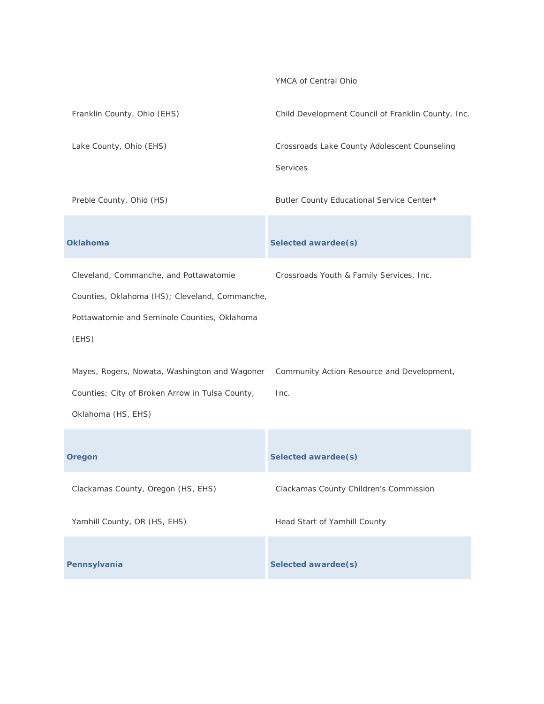|                                                                                                                                                   | YMCA of Central Ohio                                            |
|---------------------------------------------------------------------------------------------------------------------------------------------------|-----------------------------------------------------------------|
| Franklin County, Ohio (EHS)                                                                                                                       | Child Development Council of Franklin County, Inc.              |
| Lake County, Ohio (EHS)                                                                                                                           | Crossroads Lake County Adolescent Counseling<br><b>Services</b> |
| Preble County, Ohio (HS)                                                                                                                          | Butler County Educational Service Center*                       |
| <b>Oklahoma</b>                                                                                                                                   | Selected awardee(s)                                             |
| Cleveland, Commanche, and Pottawatomie<br>Counties, Oklahoma (HS); Cleveland, Commanche,<br>Pottawatomie and Seminole Counties, Oklahoma<br>(EHS) | Crossroads Youth & Family Services, Inc.                        |
| Mayes, Rogers, Nowata, Washington and Wagoner<br>Counties; City of Broken Arrow in Tulsa County,<br>Oklahoma (HS, EHS)                            | Community Action Resource and Development,<br>Inc.              |
| Oregon                                                                                                                                            | Selected awardee(s)                                             |
| Clackamas County, Oregon (HS, EHS)                                                                                                                | Clackamas County Children's Commission                          |
| Yamhill County, OR (HS, EHS)                                                                                                                      | Head Start of Yamhill County                                    |
| Pennsylvania                                                                                                                                      | Selected awardee(s)                                             |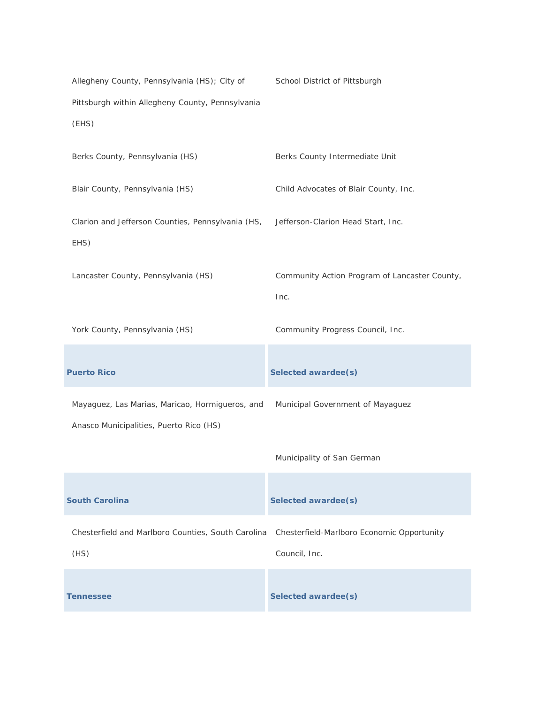| Allegheny County, Pennsylvania (HS); City of<br>Pittsburgh within Allegheny County, Pennsylvania<br>(EHS) | School District of Pittsburgh                               |
|-----------------------------------------------------------------------------------------------------------|-------------------------------------------------------------|
| Berks County, Pennsylvania (HS)                                                                           | Berks County Intermediate Unit                              |
| Blair County, Pennsylvania (HS)                                                                           | Child Advocates of Blair County, Inc.                       |
| Clarion and Jefferson Counties, Pennsylvania (HS, Jefferson-Clarion Head Start, Inc.<br>EHS)              |                                                             |
| Lancaster County, Pennsylvania (HS)                                                                       | Community Action Program of Lancaster County,<br>Inc.       |
| York County, Pennsylvania (HS)                                                                            | Community Progress Council, Inc.                            |
| <b>Puerto Rico</b>                                                                                        | Selected awardee(s)                                         |
| Mayaguez, Las Marias, Maricao, Hormigueros, and<br>Anasco Municipalities, Puerto Rico (HS)                | Municipal Government of Mayaguez                            |
|                                                                                                           | Municipality of San German                                  |
| <b>South Carolina</b>                                                                                     | Selected awardee(s)                                         |
| Chesterfield and Marlboro Counties, South Carolina<br>(HS)                                                | Chesterfield-Marlboro Economic Opportunity<br>Council, Inc. |
| <b>Tennessee</b>                                                                                          | Selected awardee(s)                                         |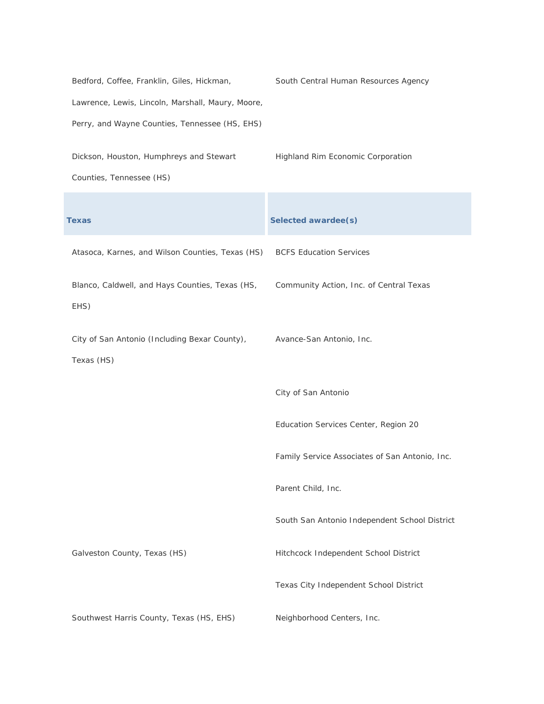| Bedford, Coffee, Franklin, Giles, Hickman,<br>Lawrence, Lewis, Lincoln, Marshall, Maury, Moore,<br>Perry, and Wayne Counties, Tennessee (HS, EHS) | South Central Human Resources Agency           |
|---------------------------------------------------------------------------------------------------------------------------------------------------|------------------------------------------------|
| Dickson, Houston, Humphreys and Stewart<br>Counties, Tennessee (HS)                                                                               | Highland Rim Economic Corporation              |
| <b>Texas</b>                                                                                                                                      | Selected awardee(s)                            |
| Atasoca, Karnes, and Wilson Counties, Texas (HS)                                                                                                  | <b>BCFS Education Services</b>                 |
| Blanco, Caldwell, and Hays Counties, Texas (HS,<br>EHS)                                                                                           | Community Action, Inc. of Central Texas        |
| City of San Antonio (Including Bexar County),<br>Texas (HS)                                                                                       | Avance-San Antonio, Inc.                       |
|                                                                                                                                                   | City of San Antonio                            |
|                                                                                                                                                   | Education Services Center, Region 20           |
|                                                                                                                                                   | Family Service Associates of San Antonio, Inc. |
|                                                                                                                                                   | Parent Child, Inc.                             |
|                                                                                                                                                   | South San Antonio Independent School District  |
| Galveston County, Texas (HS)                                                                                                                      | Hitchcock Independent School District          |
|                                                                                                                                                   | Texas City Independent School District         |
| Southwest Harris County, Texas (HS, EHS)                                                                                                          | Neighborhood Centers, Inc.                     |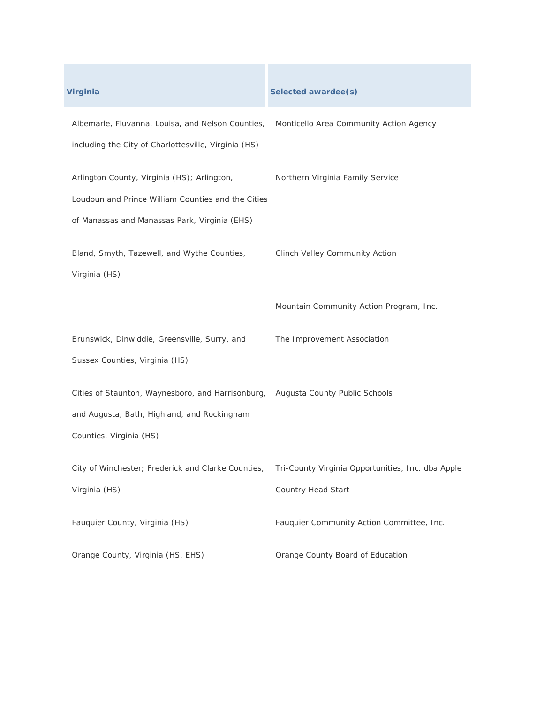| <b>Virginia</b>                                                                                                                                           | Selected awardee(s)                                                                                                        |
|-----------------------------------------------------------------------------------------------------------------------------------------------------------|----------------------------------------------------------------------------------------------------------------------------|
| Albemarle, Fluvanna, Louisa, and Nelson Counties,<br>including the City of Charlottesville, Virginia (HS)                                                 | Monticello Area Community Action Agency                                                                                    |
| Arlington County, Virginia (HS); Arlington,<br>Loudoun and Prince William Counties and the Cities<br>of Manassas and Manassas Park, Virginia (EHS)        | Northern Virginia Family Service                                                                                           |
| Bland, Smyth, Tazewell, and Wythe Counties,<br>Virginia (HS)                                                                                              | Clinch Valley Community Action                                                                                             |
|                                                                                                                                                           | Mountain Community Action Program, Inc.                                                                                    |
|                                                                                                                                                           |                                                                                                                            |
| Brunswick, Dinwiddie, Greensville, Surry, and<br>Sussex Counties, Virginia (HS)                                                                           | The Improvement Association                                                                                                |
| Cities of Staunton, Waynesboro, and Harrisonburg, Augusta County Public Schools<br>and Augusta, Bath, Highland, and Rockingham<br>Counties, Virginia (HS) |                                                                                                                            |
| Virginia (HS)                                                                                                                                             | City of Winchester; Frederick and Clarke Counties, Tri-County Virginia Opportunities, Inc. dba Apple<br>Country Head Start |
| Fauquier County, Virginia (HS)                                                                                                                            | Fauquier Community Action Committee, Inc.                                                                                  |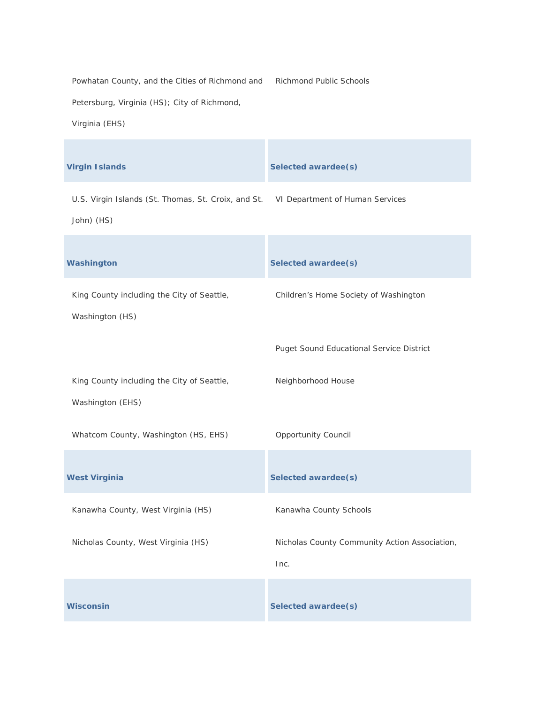Powhatan County, and the Cities of Richmond and Richmond Public Schools Petersburg, Virginia (HS); City of Richmond,

Virginia (EHS)

| <b>Virgin Islands</b>                                             | Selected awardee(s)                                   |
|-------------------------------------------------------------------|-------------------------------------------------------|
| U.S. Virgin Islands (St. Thomas, St. Croix, and St.<br>John) (HS) | VI Department of Human Services                       |
| Washington                                                        | Selected awardee(s)                                   |
| King County including the City of Seattle,<br>Washington (HS)     | Children's Home Society of Washington                 |
|                                                                   | <b>Puget Sound Educational Service District</b>       |
| King County including the City of Seattle,<br>Washington (EHS)    | Neighborhood House                                    |
| Whatcom County, Washington (HS, EHS)                              | <b>Opportunity Council</b>                            |
| <b>West Virginia</b>                                              | Selected awardee(s)                                   |
| Kanawha County, West Virginia (HS)                                | Kanawha County Schools                                |
| Nicholas County, West Virginia (HS)                               | Nicholas County Community Action Association,<br>Inc. |
| <b>Wisconsin</b>                                                  | Selected awardee(s)                                   |